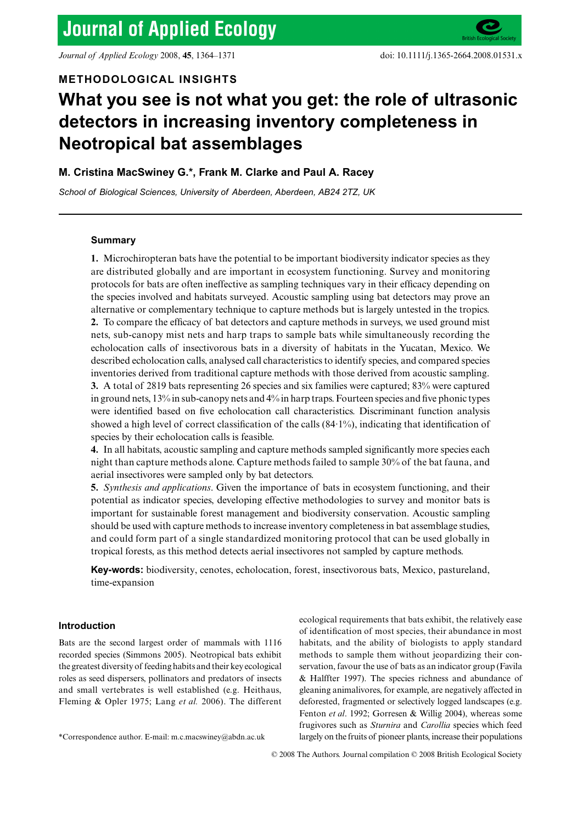*Journal of Applied Ecology* 2008, **45**, 1364–1371 doi: 10.1111/j.1365-2664.2008.01531.x

# **METHODOLOGICAL INSIGHTS**

# **What you see is not what you get: the role of ultrasonic detectors in increasing inventory completeness in Neotropical bat assemblages**

# **M. Cristina MacSwiney G.\*, Frank M. Clarke and Paul A. Racey**

*School of Biological Sciences, University of Aberdeen, Aberdeen, AB24 2TZ, UK*

# **Summary**

**1.** Microchiropteran bats have the potential to be important biodiversity indicator species as they are distributed globally and are important in ecosystem functioning. Survey and monitoring protocols for bats are often ineffective as sampling techniques vary in their efficacy depending on the species involved and habitats surveyed. Acoustic sampling using bat detectors may prove an alternative or complementary technique to capture methods but is largely untested in the tropics. **2.** To compare the efficacy of bat detectors and capture methods in surveys, we used ground mist nets, sub-canopy mist nets and harp traps to sample bats while simultaneously recording the echolocation calls of insectivorous bats in a diversity of habitats in the Yucatan, Mexico. We described echolocation calls, analysed call characteristics to identify species, and compared species inventories derived from traditional capture methods with those derived from acoustic sampling. **3.** A total of 2819 bats representing 26 species and six families were captured; 83% were captured in ground nets, 13% in sub-canopy nets and 4% in harp traps. Fourteen species and five phonic types were identified based on five echolocation call characteristics. Discriminant function analysis showed a high level of correct classification of the calls (84·1%), indicating that identification of species by their echolocation calls is feasible.

**4.** In all habitats, acoustic sampling and capture methods sampled significantly more species each night than capture methods alone. Capture methods failed to sample 30% of the bat fauna, and aerial insectivores were sampled only by bat detectors.

**5.** *Synthesis and applications*. Given the importance of bats in ecosystem functioning, and their potential as indicator species, developing effective methodologies to survey and monitor bats is important for sustainable forest management and biodiversity conservation. Acoustic sampling should be used with capture methods to increase inventory completeness in bat assemblage studies, and could form part of a single standardized monitoring protocol that can be used globally in tropical forests, as this method detects aerial insectivores not sampled by capture methods.

**Key-words:** biodiversity, cenotes, echolocation, forest, insectivorous bats, Mexico, pastureland, time-expansion

# **Introduction**

Bats are the second largest order of mammals with 1116 recorded species (Simmons 2005). Neotropical bats exhibit the greatest diversity of feeding habits and their key ecological roles as seed dispersers, pollinators and predators of insects and small vertebrates is well established (e.g. Heithaus, Fleming & Opler 1975; Lang *et al.* 2006). The different

ecological requirements that bats exhibit, the relatively ease of identification of most species, their abundance in most habitats, and the ability of biologists to apply standard methods to sample them without jeopardizing their conservation, favour the use of bats as an indicator group (Favila & Halffter 1997). The species richness and abundance of gleaning animalivores, for example, are negatively affected in deforested, fragmented or selectively logged landscapes (e.g. Fenton *et al*. 1992; Gorresen & Willig 2004), whereas some frugivores such as *Sturnira* and *Carollia* species which feed

<sup>\*</sup>Correspondence author. E-mail: m.c.macswiney@abdn.ac.uk largely on the fruits of pioneer plants, increase their populations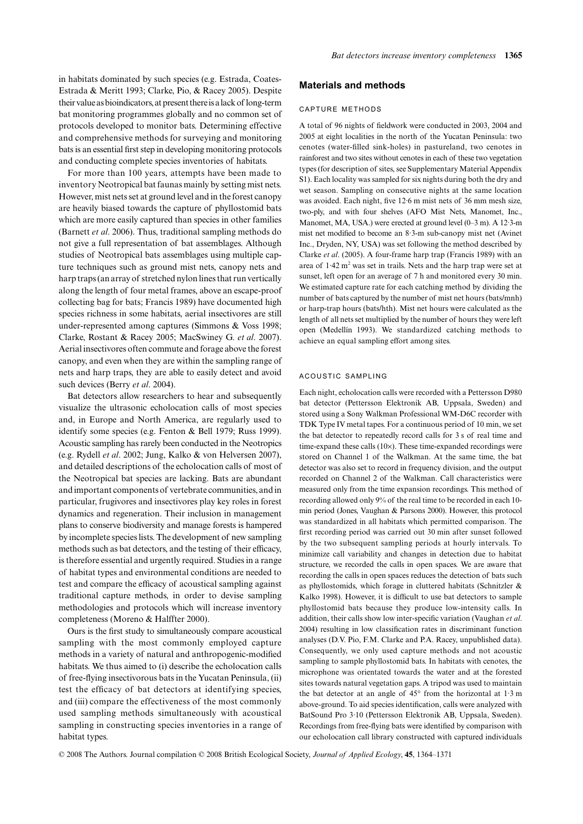in habitats dominated by such species (e.g. Estrada, Coates-Estrada & Meritt 1993; Clarke, Pio, & Racey 2005). Despite their value as bioindicators, at present there is a lack of long-term bat monitoring programmes globally and no common set of protocols developed to monitor bats. Determining effective and comprehensive methods for surveying and monitoring bats is an essential first step in developing monitoring protocols and conducting complete species inventories of habitats.

For more than 100 years, attempts have been made to inventory Neotropical bat faunas mainly by setting mist nets. However, mist nets set at ground level and in the forest canopy are heavily biased towards the capture of phyllostomid bats which are more easily captured than species in other families (Barnett *et al*. 2006). Thus, traditional sampling methods do not give a full representation of bat assemblages. Although studies of Neotropical bats assemblages using multiple capture techniques such as ground mist nets, canopy nets and harp traps (an array of stretched nylon lines that run vertically along the length of four metal frames, above an escape-proof collecting bag for bats; Francis 1989) have documented high species richness in some habitats, aerial insectivores are still under-represented among captures (Simmons & Voss 1998; Clarke, Rostant & Racey 2005; MacSwiney G. *et al*. 2007). Aerial insectivores often commute and forage above the forest canopy, and even when they are within the sampling range of nets and harp traps, they are able to easily detect and avoid such devices (Berry *et al*. 2004).

Bat detectors allow researchers to hear and subsequently visualize the ultrasonic echolocation calls of most species and, in Europe and North America, are regularly used to identify some species (e.g. Fenton & Bell 1979; Russ 1999). Acoustic sampling has rarely been conducted in the Neotropics (e.g. Rydell *et al*. 2002; Jung, Kalko & von Helversen 2007), and detailed descriptions of the echolocation calls of most of the Neotropical bat species are lacking. Bats are abundant and important components of vertebrate communities, and in particular, frugivores and insectivores play key roles in forest dynamics and regeneration. Their inclusion in management plans to conserve biodiversity and manage forests is hampered by incomplete species lists. The development of new sampling methods such as bat detectors, and the testing of their efficacy, is therefore essential and urgently required. Studies in a range of habitat types and environmental conditions are needed to test and compare the efficacy of acoustical sampling against traditional capture methods, in order to devise sampling methodologies and protocols which will increase inventory completeness (Moreno & Halffter 2000).

Ours is the first study to simultaneously compare acoustical sampling with the most commonly employed capture methods in a variety of natural and anthropogenic-modified habitats. We thus aimed to (i) describe the echolocation calls of free-flying insectivorous bats in the Yucatan Peninsula, (ii) test the efficacy of bat detectors at identifying species, and (iii) compare the effectiveness of the most commonly used sampling methods simultaneously with acoustical sampling in constructing species inventories in a range of habitat types.

## **Materials and methods**

#### CAPTURE METHODS

A total of 96 nights of fieldwork were conducted in 2003, 2004 and 2005 at eight localities in the north of the Yucatan Peninsula: two cenotes (water-filled sink-holes) in pastureland, two cenotes in rainforest and two sites without cenotes in each of these two vegetation types (for description of sites, see Supplementary Material Appendix S1). Each locality was sampled for six nights during both the dry and wet season. Sampling on consecutive nights at the same location was avoided. Each night, five 12·6 m mist nets of 36 mm mesh size, two-ply, and with four shelves (AFO Mist Nets, Manomet, Inc., Manomet, MA, USA.) were erected at ground level (0–3 m). A 12·3-m mist net modified to become an 8·3-m sub-canopy mist net (Avinet Inc., Dryden, NY, USA) was set following the method described by Clarke *et al*. (2005). A four-frame harp trap (Francis 1989) with an area of  $1.42 \text{ m}^2$  was set in trails. Nets and the harp trap were set at sunset, left open for an average of 7 h and monitored every 30 min. We estimated capture rate for each catching method by dividing the number of bats captured by the number of mist net hours (bats/mnh) or harp-trap hours (bats/hth). Mist net hours were calculated as the length of all nets set multiplied by the number of hours they were left open (Medellín 1993). We standardized catching methods to achieve an equal sampling effort among sites.

#### ACOUSTIC SAMPLING

Each night, echolocation calls were recorded with a Pettersson D980 bat detector (Pettersson Elektronik AB, Uppsala, Sweden) and stored using a Sony Walkman Professional WM-D6C recorder with TDK Type IV metal tapes. For a continuous period of 10 min, we set the bat detector to repeatedly record calls for 3 s of real time and time-expand these calls (10×). These time-expanded recordings were stored on Channel 1 of the Walkman. At the same time, the bat detector was also set to record in frequency division, and the output recorded on Channel 2 of the Walkman. Call characteristics were measured only from the time expansion recordings. This method of recording allowed only 9% of the real time to be recorded in each 10 min period (Jones, Vaughan & Parsons 2000). However, this protocol was standardized in all habitats which permitted comparison. The first recording period was carried out 30 min after sunset followed by the two subsequent sampling periods at hourly intervals. To minimize call variability and changes in detection due to habitat structure, we recorded the calls in open spaces. We are aware that recording the calls in open spaces reduces the detection of bats such as phyllostomids, which forage in cluttered habitats (Schnitzler & Kalko 1998). However, it is difficult to use bat detectors to sample phyllostomid bats because they produce low-intensity calls. In addition, their calls show low inter-specific variation (Vaughan *et al*. 2004) resulting in low classification rates in discriminant function analyses (D.V. Pio, F.M. Clarke and P.A. Racey, unpublished data). Consequently, we only used capture methods and not acoustic sampling to sample phyllostomid bats. In habitats with cenotes, the microphone was orientated towards the water and at the forested sites towards natural vegetation gaps. A tripod was used to maintain the bat detector at an angle of 45° from the horizontal at 1·3 m above-ground. To aid species identification, calls were analyzed with BatSound Pro 3·10 (Pettersson Elektronik AB, Uppsala, Sweden). Recordings from free-flying bats were identified by comparison with our echolocation call library constructed with captured individuals

© 2008 The Authors. Journal compilation © 2008 British Ecological Society, *Journal of Applied Ecology*, **45**, 1364–1371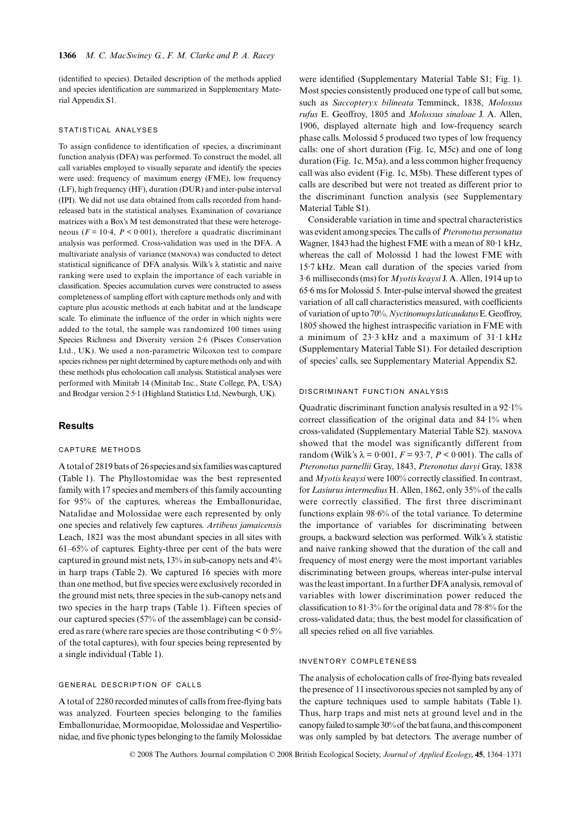(identified to species). Detailed description of the methods applied and species identification are summarized in Supplementary Material Appendix S1.

#### STATISTICAL ANALYSES

To assign confidence to identification of species, a discriminant function analysis (DFA) was performed. To construct the model, all call variables employed to visually separate and identify the species were used: frequency of maximum energy (FME), low frequency (LF), high frequency (HF), duration (DUR) and inter-pulse interval (IPI). We did not use data obtained from calls recorded from handreleased bats in the statistical analyses. Examination of covariance matrices with a Box's M test demonstrated that these were heterogeneous ( $F = 10.4$ ,  $P < 0.001$ ), therefore a quadratic discriminant analysis was performed. Cross-validation was used in the DFA. A multivariate analysis of variance (manova) was conducted to detect statistical significance of DFA analysis. Wilk's λ statistic and naive ranking were used to explain the importance of each variable in classification. Species accumulation curves were constructed to assess completeness of sampling effort with capture methods only and with capture plus acoustic methods at each habitat and at the landscape scale. To eliminate the influence of the order in which nights were added to the total, the sample was randomized 100 times using Species Richness and Diversity version 2·6 (Pisces Conservation Ltd., UK). We used a non-parametric Wilcoxon test to compare species richness per night determined by capture methods only and with these methods plus echolocation call analysis. Statistical analyses were performed with Minitab 14 (Minitab Inc., State College, PA, USA) and Brodgar version 2·5·1 (Highland Statistics Ltd, Newburgh, UK).

# **Results**

## CAPTURE METHODS

A total of 2819 bats of 26 species and six families was captured (Table 1). The Phyllostomidae was the best represented family with 17 species and members of this family accounting for 95% of the captures, whereas the Emballonuridae, Natalidae and Molossidae were each represented by only one species and relatively few captures. *Artibeus jamaicensis* Leach, 1821 was the most abundant species in all sites with 61–65% of captures. Eighty-three per cent of the bats were captured in ground mist nets, 13% in sub-canopy nets and 4% in harp traps (Table 2). We captured 16 species with more than one method, but five species were exclusively recorded in the ground mist nets, three species in the sub-canopy nets and two species in the harp traps (Table 1). Fifteen species of our captured species (57% of the assemblage) can be considered as rare (where rare species are those contributing  $\leq 0.5\%$ of the total captures), with four species being represented by a single individual (Table 1).

## GENERAL DESCRIPTION OF CALLS

A total of 2280 recorded minutes of calls from free-flying bats was analyzed. Fourteen species belonging to the families Emballonuridae, Mormoopidae, Molossidae and Vespertilionidae, and five phonic types belonging to the family Molossidae

were identified (Supplementary Material Table S1; Fig. 1). Most species consistently produced one type of call but some, such as *Saccopteryx bilineata* Temminck, 1838, *Molossus rufus* E. Geoffroy, 1805 and *Molossus sinaloae* J. A. Allen, 1906, displayed alternate high and low-frequency search phase calls. Molossid 5 produced two types of low frequency calls: one of short duration (Fig. 1c, M5c) and one of long duration (Fig. 1c, M5a), and a less common higher frequency call was also evident (Fig. 1c, M5b). These different types of calls are described but were not treated as different prior to the discriminant function analysis (see Supplementary Material Table S1).

Considerable variation in time and spectral characteristics was evident among species. The calls of *Pteronotus personatus* Wagner, 1843 had the highest FME with a mean of 80·1 kHz, whereas the call of Molossid 1 had the lowest FME with 15·7 kHz. Mean call duration of the species varied from 3·6 milliseconds (ms) for *Myotis keaysi* J. A. Allen, 1914 up to 65·6 ms for Molossid 5. Inter-pulse interval showed the greatest variation of all call characteristics measured, with coefficients of variation of up to 70%. *Nyctinomops laticaudatus* E. Geoffroy, 1805 showed the highest intraspecific variation in FME with a minimum of 23·3 kHz and a maximum of 31·1 kHz (Supplementary Material Table S1). For detailed description of species' calls, see Supplementary Material Appendix S2.

#### DISCRIMINANT FUNCTION ANALYSIS

Quadratic discriminant function analysis resulted in a 92·1% correct classification of the original data and 84·1% when cross-validated (Supplementary Material Table S2). manova showed that the model was significantly different from random (Wilk's  $\lambda = 0.001$ ,  $F = 93.7$ ,  $P < 0.001$ ). The calls of *Pteronotus parnellii* Gray, 1843, *Pteronotus davyi* Gray, 1838 and *Myotis keaysi* were 100% correctly classified. In contrast, for *Lasiurus intermedius* H. Allen, 1862, only 35% of the calls were correctly classified. The first three discriminant functions explain 98·6% of the total variance. To determine the importance of variables for discriminating between groups, a backward selection was performed. Wilk's λ statistic and naive ranking showed that the duration of the call and frequency of most energy were the most important variables discriminating between groups, whereas inter-pulse interval was the least important. In a further DFA analysis, removal of variables with lower discrimination power reduced the classification to 81·3% for the original data and 78·8% for the cross-validated data; thus, the best model for classification of all species relied on all five variables.

#### INVENTORY COMPLETENESS

The analysis of echolocation calls of free-flying bats revealed the presence of 11 insectivorous species not sampled by any of the capture techniques used to sample habitats (Table 1). Thus, harp traps and mist nets at ground level and in the canopy failed to sample 30% of the bat fauna, and this component was only sampled by bat detectors. The average number of

© 2008 The Authors. Journal compilation © 2008 British Ecological Society, *Journal of Applied Ecology*, **45**, 1364–1371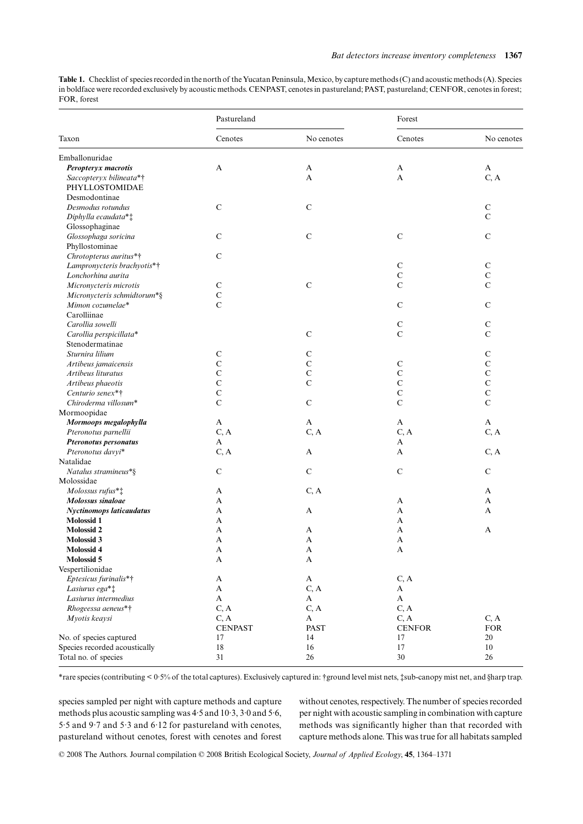**Table 1.** Checklist of species recorded in the north of the Yucatan Peninsula, Mexico, by capture methods (C) and acoustic methods (A). Species in boldface were recorded exclusively by acoustic methods. CENPAST, cenotes in pastureland; PAST, pastureland; CENFOR, cenotes in forest; FOR, forest

|                                 | Pastureland    |               | Forest        |               |  |
|---------------------------------|----------------|---------------|---------------|---------------|--|
| Taxon                           | Cenotes        | No cenotes    | Cenotes       | No cenotes    |  |
| Emballonuridae                  |                |               |               |               |  |
| Peropteryx macrotis             | A              | $\mathbf{A}$  | A             | $\mathbf{A}$  |  |
| Saccopteryx bilineata*†         |                | $\mathbf{A}$  | A             | C, A          |  |
| PHYLLOSTOMIDAE                  |                |               |               |               |  |
| Desmodontinae                   |                |               |               |               |  |
| Desmodus rotundus               | $\mathsf{C}$   | $\mathbf C$   |               | $\mathbf C$   |  |
| Diphylla ecaudata**             |                |               |               | $\mathbf C$   |  |
| Glossophaginae                  |                |               |               |               |  |
| Glossophaga soricina            | $\mathbf C$    | $\mathbf C$   | $\mathbf C$   | $\mathbf C$   |  |
| Phyllostominae                  |                |               |               |               |  |
| Chrotopterus auritus*†          | $\mathsf{C}$   |               |               |               |  |
| Lampronycteris brachyotis*†     |                |               | $\mathbf C$   | ${\bf C}$     |  |
| Lonchorhina aurita              |                |               | $\mathbf C$   | $\mathcal{C}$ |  |
| Micronycteris microtis          | $\mathbf C$    | $\mathbf C$   | $\mathsf{C}$  | $\mathbf C$   |  |
| Micronycteris schmidtorum*§     | $\mathbf C$    |               |               |               |  |
| Mimon cozumelae*                | $\overline{C}$ |               | $\mathbf C$   | $\mathbf C$   |  |
| Carolliinae                     |                |               |               |               |  |
| Carollia sowelli                |                |               | $\mathbf C$   | ${\bf C}$     |  |
| Carollia perspicillata*         |                | $\mathcal{C}$ | $\mathbf C$   | $\mathbf C$   |  |
| Stenodermatinae                 |                |               |               |               |  |
| Sturnira lilium                 | $\mathbf C$    | $\mathsf{C}$  |               | ${\bf C}$     |  |
| Artibeus jamaicensis            | $\mathbf C$    | $\mathbf C$   | $\mathbf C$   | $\mathcal{C}$ |  |
| Artibeus lituratus              | $\mathbf C$    | $\mathbf C$   | $\mathbf C$   | $\mathbf C$   |  |
| Artibeus phaeotis               | $\mathbf C$    | $\mathsf{C}$  | $\mathbf C$   | $\mathbf C$   |  |
| Centurio senex*†                | $\mathbf C$    |               | $\mathbf C$   | $\mathbf C$   |  |
| Chiroderma villosum*            | $\overline{C}$ | $\mathbf C$   | $\mathsf{C}$  | $\mathbf C$   |  |
| Mormoopidae                     |                |               |               |               |  |
| Mormoops megalophylla           | A              | A             | A             | A             |  |
| Pteronotus parnellii            | C, A           | C, A          | C, A          | C, A          |  |
| Pteronotus personatus           | A              |               | A             |               |  |
| Pteronotus davyi*               | C, A           | $\mathbf{A}$  | A             | C, A          |  |
| Natalidae                       |                |               |               |               |  |
| Natalus stramineus*§            | $\mathsf{C}$   | $\mathbf C$   | $\mathbf C$   | $\mathbf C$   |  |
| Molossidae                      |                |               |               |               |  |
| Molossus rufus* <sup>†</sup>    | A              | C, A          |               | A             |  |
| Molossus sinaloae               | A              |               | A             | A             |  |
| <b>Nyctinomops laticaudatus</b> | A              | $\mathbf{A}$  | A             | A             |  |
| <b>Molossid 1</b>               | A              |               | A             |               |  |
| <b>Molossid 2</b>               | A              | A             | A             | A             |  |
| Molossid 3                      | A              | A             | A             |               |  |
| Molossid 4                      | A              | A             | A             |               |  |
| Molossid 5                      | A              | A             |               |               |  |
| Vespertilionidae                |                |               |               |               |  |
| Eptesicus furinalis*†           | $\mathbf{A}$   | $\mathbf A$   | C, A          |               |  |
| Lasiurus ega*‡                  | $\mathbf A$    | C, A          | A             |               |  |
| Lasiurus intermedius            | $\mathbf A$    | $\mathbf{A}$  | $\mathbf{A}$  |               |  |
| Rhogeessa aeneus*†              | C, A           | C, A          | C, A          |               |  |
| Myotis keaysi                   | C, A           | A             | C, A          | C, A          |  |
|                                 | <b>CENPAST</b> | PAST          | <b>CENFOR</b> | <b>FOR</b>    |  |
| No. of species captured         | 17             | 14            | 17            | 20            |  |
| Species recorded acoustically   | 18             | 16            | 17            | 10            |  |
| Total no. of species            | 31             | $26\,$        | $30\,$        | 26            |  |
|                                 |                |               |               |               |  |

\*rare species (contributing < 0·5% of the total captures). Exclusively captured in: †ground level mist nets, ‡sub-canopy mist net, and §harp trap.

species sampled per night with capture methods and capture methods plus acoustic sampling was 4·5 and 10·3, 3·0 and 5·6, 5·5 and 9·7 and 5·3 and 6·12 for pastureland with cenotes, pastureland without cenotes, forest with cenotes and forest without cenotes, respectively. The number of species recorded per night with acoustic sampling in combination with capture methods was significantly higher than that recorded with capture methods alone. This was true for all habitats sampled

© 2008 The Authors. Journal compilation © 2008 British Ecological Society, *Journal of Applied Ecology*, **45**, 1364–1371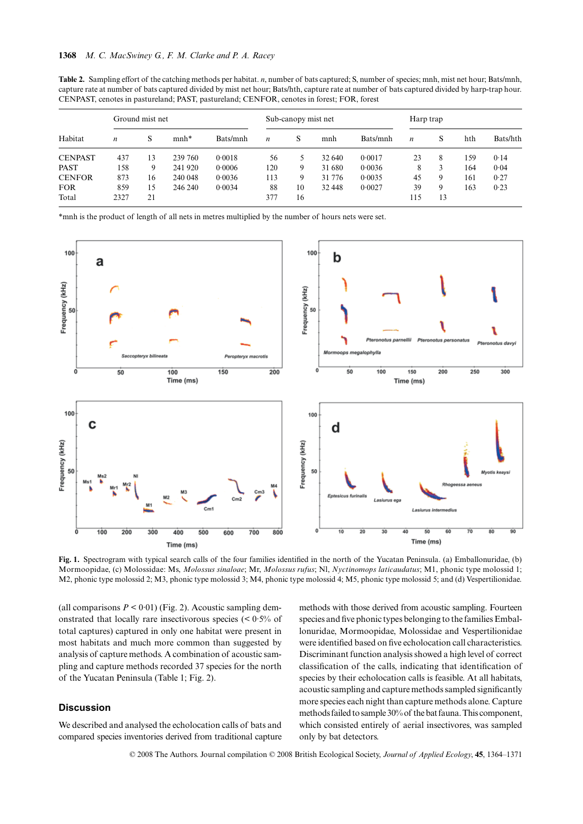| CENPAST, cenotes in pastureland; PAST, pastureland; CENFOR, cenotes in forest; FOR, forest |                  |    |         |                     |                  |    |           |          |                  |    |     |          |
|--------------------------------------------------------------------------------------------|------------------|----|---------|---------------------|------------------|----|-----------|----------|------------------|----|-----|----------|
| Habitat                                                                                    | Ground mist net  |    |         | Sub-canopy mist net |                  |    | Harp trap |          |                  |    |     |          |
|                                                                                            | $\boldsymbol{n}$ | S  | $mnh*$  | Bats/mnh            | $\boldsymbol{n}$ | S  | mnh       | Bats/mnh | $\boldsymbol{n}$ | S  | hth | Bats/hth |
| <b>CENPAST</b>                                                                             | 437              | 13 | 239 760 | 0.0018              | 56               |    | 32 640    | 0.0017   | 23               | 8  | 159 | 0.14     |
| <b>PAST</b>                                                                                | 158              | 9  | 241 920 | 0.0006              | 120              | 9  | 31 680    | 0.0036   | 8                | 3  | 164 | 0.04     |
| <b>CENFOR</b>                                                                              | 873              | 16 | 240 048 | 0.0036              | 113              | 9  | 31 776    | 0.0035   | 45               | 9  | 161 | 0.27     |
| <b>FOR</b>                                                                                 | 859              | 15 | 246 240 | 0.0034              | 88               | 10 | 32 448    | 0.0027   | 39               | 9  | 163 | 0.23     |
| Total                                                                                      | 2327             | 21 |         |                     | 377              | 16 |           |          | 115              | 13 |     |          |

**Table 2.** Sampling effort of the catching methods per habitat. *n*, number of bats captured; S, number of species; mnh, mist net hour; Bats/mnh, capture rate at number of bats captured divided by mist net hour; Bats/hth, capture rate at number of bats captured divided by harp-trap hour.

\*mnh is the product of length of all nets in metres multiplied by the number of hours nets were set.



**Fig. 1.** Spectrogram with typical search calls of the four families identified in the north of the Yucatan Peninsula. (a) Emballonuridae, (b) Mormoopidae, (c) Molossidae: Ms, *Molossus sinaloae*; Mr, *Molossus rufus*; Nl, *Nyctinomops laticaudatus*; M1, phonic type molossid 1; M2, phonic type molossid 2; M3, phonic type molossid 3; M4, phonic type molossid 4; M5, phonic type molossid 5; and (d) Vespertilionidae.

(all comparisons  $P < 0.01$ ) (Fig. 2). Acoustic sampling demonstrated that locally rare insectivorous species (< 0·5% of total captures) captured in only one habitat were present in most habitats and much more common than suggested by analysis of capture methods. A combination of acoustic sampling and capture methods recorded 37 species for the north of the Yucatan Peninsula (Table 1; Fig. 2).

## **Discussion**

We described and analysed the echolocation calls of bats and compared species inventories derived from traditional capture methods with those derived from acoustic sampling. Fourteen species and five phonic types belonging to the families Emballonuridae, Mormoopidae, Molossidae and Vespertilionidae were identified based on five echolocation call characteristics. Discriminant function analysis showed a high level of correct classification of the calls, indicating that identification of species by their echolocation calls is feasible. At all habitats, acoustic sampling and capture methods sampled significantly more species each night than capture methods alone. Capture methods failed to sample 30% of the bat fauna. This component, which consisted entirely of aerial insectivores, was sampled only by bat detectors.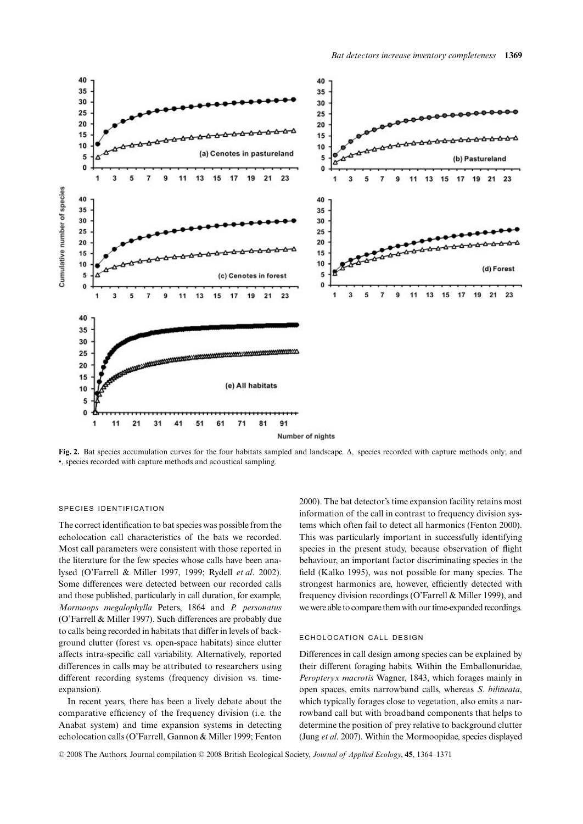

**Fig. 2.** Bat species accumulation curves for the four habitats sampled and landscape. Δ, species recorded with capture methods only; and •, species recorded with capture methods and acoustical sampling.

# SPECIES IDENTIFICATION

The correct identification to bat species was possible from the echolocation call characteristics of the bats we recorded. Most call parameters were consistent with those reported in the literature for the few species whose calls have been analysed (O'Farrell & Miller 1997, 1999; Rydell *et al*. 2002). Some differences were detected between our recorded calls and those published, particularly in call duration, for example, *Mormoops megalophylla* Peters, 1864 and *P. personatus* (O'Farrell & Miller 1997). Such differences are probably due to calls being recorded in habitats that differ in levels of background clutter (forest vs. open-space habitats) since clutter affects intra-specific call variability. Alternatively, reported differences in calls may be attributed to researchers using different recording systems (frequency division vs. timeexpansion).

In recent years, there has been a lively debate about the comparative efficiency of the frequency division (i.e. the Anabat system) and time expansion systems in detecting echolocation calls (O'Farrell, Gannon & Miller 1999; Fenton

2000). The bat detector's time expansion facility retains most information of the call in contrast to frequency division systems which often fail to detect all harmonics (Fenton 2000). This was particularly important in successfully identifying species in the present study, because observation of flight behaviour, an important factor discriminating species in the field (Kalko 1995), was not possible for many species. The strongest harmonics are, however, efficiently detected with frequency division recordings (O'Farrell & Miller 1999), and we were able to compare them with our time-expanded recordings.

#### ECHOLOCATION CALL DESIGN

Differences in call design among species can be explained by their different foraging habits. Within the Emballonuridae, *Peropteryx macrotis* Wagner, 1843, which forages mainly in open spaces, emits narrowband calls, whereas *S*. *bilineata*, which typically forages close to vegetation, also emits a narrowband call but with broadband components that helps to determine the position of prey relative to background clutter (Jung *et al*. 2007). Within the Mormoopidae, species displayed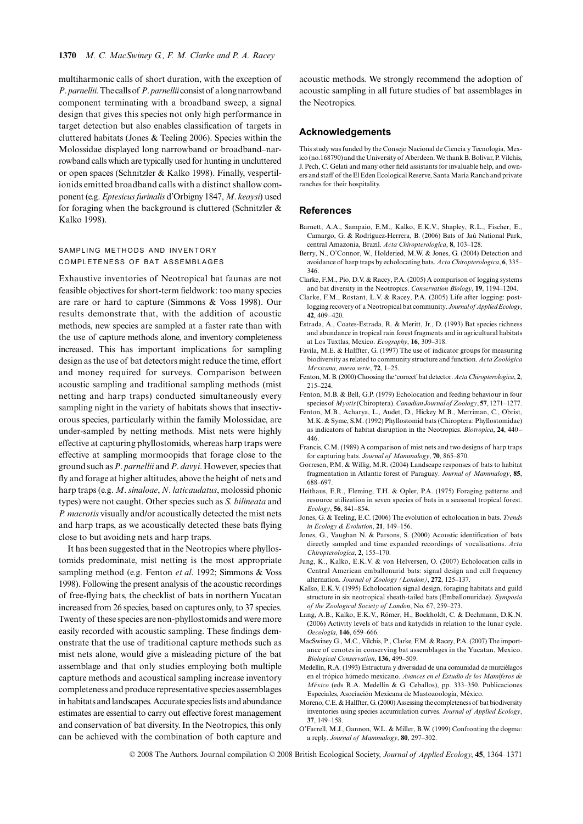multiharmonic calls of short duration, with the exception of *P*. *parnellii*. The calls of *P*. *parnellii* consist of a long narrowband component terminating with a broadband sweep, a signal design that gives this species not only high performance in target detection but also enables classification of targets in cluttered habitats (Jones & Teeling 2006). Species within the Molossidae displayed long narrowband or broadband–narrowband calls which are typically used for hunting in uncluttered or open spaces (Schnitzler & Kalko 1998). Finally, vespertilionids emitted broadband calls with a distinct shallow component (e.g. *Eptesicus furinalis* d'Orbigny 1847, *M*. *keaysi*) used for foraging when the background is cluttered (Schnitzler  $\&$ Kalko 1998).

# SAMPLING METHODS AND INVENTORY COMPLETENESS OF BAT ASSEMBLAGES

Exhaustive inventories of Neotropical bat faunas are not feasible objectives for short-term fieldwork: too many species are rare or hard to capture (Simmons & Voss 1998). Our results demonstrate that, with the addition of acoustic methods, new species are sampled at a faster rate than with the use of capture methods alone, and inventory completeness increased. This has important implications for sampling design as the use of bat detectors might reduce the time, effort and money required for surveys. Comparison between acoustic sampling and traditional sampling methods (mist netting and harp traps) conducted simultaneously every sampling night in the variety of habitats shows that insectivorous species, particularly within the family Molossidae, are under-sampled by netting methods. Mist nets were highly effective at capturing phyllostomids, whereas harp traps were effective at sampling mormoopids that forage close to the ground such as *P*. *parnellii* and *P*. *davyi*. However, species that fly and forage at higher altitudes, above the height of nets and harp traps (e.g. *M*. *sinaloae*, *N*. *laticaudatus*, molossid phonic types) were not caught. Other species such as *S. bilineata* and *P. macrotis* visually and/or acoustically detected the mist nets and harp traps, as we acoustically detected these bats flying close to but avoiding nets and harp traps.

It has been suggested that in the Neotropics where phyllostomids predominate, mist netting is the most appropriate sampling method (e.g. Fenton *et al*. 1992; Simmons & Voss 1998). Following the present analysis of the acoustic recordings of free-flying bats, the checklist of bats in northern Yucatan increased from 26 species, based on captures only, to 37 species. Twenty of these species are non-phyllostomids and were more easily recorded with acoustic sampling. These findings demonstrate that the use of traditional capture methods such as mist nets alone, would give a misleading picture of the bat assemblage and that only studies employing both multiple capture methods and acoustical sampling increase inventory completeness and produce representative species assemblages in habitats and landscapes. Accurate species lists and abundance estimates are essential to carry out effective forest management and conservation of bat diversity. In the Neotropics, this only can be achieved with the combination of both capture and

acoustic methods. We strongly recommend the adoption of acoustic sampling in all future studies of bat assemblages in the Neotropics.

## **Acknowledgements**

This study was funded by the Consejo Nacional de Ciencia y Tecnología, Mexico (no.168790) and the University of Aberdeen. We thank B. Bolívar, P. Vilchis, J. Pech, C. Gelati and many other field assistants for invaluable help, and owners and staff of the El Eden Ecological Reserve, Santa María Ranch and private ranches for their hospitality.

#### **References**

- Barnett, A.A., Sampaio, E.M., Kalko, E.K.V., Shapley, R.L., Fischer, E., Camargo, G. & Rodríguez-Herrera, B. (2006) Bats of Jaú National Park, central Amazonia, Brazil. *Acta Chiropterologica*, **8**, 103–128.
- Berry, N., O'Connor, W., Holderied, M.W. & Jones, G. (2004) Detection and avoidance of harp traps by echolocating bats. *Acta Chiropterologica*, **6**, 335– 346.
- Clarke, F.M., Pio, D.V. & Racey, P.A. (2005) A comparison of logging systems and bat diversity in the Neotropics. *Conservation Biology*, **19**, 1194–1204.
- Clarke, F.M., Rostant, L.V. & Racey, P.A. (2005) Life after logging: postlogging recovery of a Neotropical bat community. *Journal of Applied Ecology*, **42**, 409–420.
- Estrada, A., Coates-Estrada, R. & Meritt, Jr., D. (1993) Bat species richness and abundance in tropical rain forest fragments and in agricultural habitats at Los Tuxtlas, Mexico. *Ecography*, **16**, 309–318.
- Favila, M.E. & Halffter, G. (1997) The use of indicator groups for measuring biodiversity as related to community structure and function. *Acta Zoológica Mexicana, nueva serie*, **72**, 1–25.
- Fenton, M. B. (2000) Choosing the 'correct' bat detector. *Acta Chiropterologica*, **2**, 215–224.
- Fenton, M.B. & Bell, G.P. (1979) Echolocation and feeding behaviour in four species of *Myotis* (Chiroptera). *Canadian Journal of Zoology*, **57**, 1271–1277.
- Fenton, M.B., Acharya, L., Audet, D., Hickey M.B., Merriman, C., Obrist, M.K. & Syme, S.M. (1992) Phyllostomid bats (Chiroptera: Phyllostomidae) as indicators of habitat disruption in the Neotropics. *Biotropica*, **24**, 440– 446.
- Francis, C.M. (1989) A comparison of mist nets and two designs of harp traps for capturing bats. *Journal of Mammalogy*, **70**, 865–870.
- Gorresen, P.M. & Willig, M.R. (2004) Landscape responses of bats to habitat fragmentation in Atlantic forest of Paraguay. *Journal of Mammalogy*, **85**, 688–697.
- Heithaus, E.R., Fleming, T.H. & Opler, P.A. (1975) Foraging patterns and resource utilization in seven species of bats in a seasonal tropical forest. *Ecology*, **56**, 841–854.
- Jones, G. & Teeling, E.C. (2006) The evolution of echolocation in bats. *Trends in Ecology & Evolution*, **21**, 149–156.
- Jones, G., Vaughan N. & Parsons, S. (2000) Acoustic identification of bats directly sampled and time expanded recordings of vocalisations. *Acta Chiropterologica*, **2**, 155–170.
- Jung, K., Kalko, E.K.V. & von Helversen, O. (2007) Echolocation calls in Central American emballonurid bats: signal design and call frequency alternation. *Journal of Zoology (London)*, **272**, 125–137.
- Kalko, E.K.V. (1995) Echolocation signal design, foraging habitats and guild structure in six neotropical sheath-tailed bats (Emballonuridae). *Symposia of the Zoological Society of London*, No. 67, 259–273.
- Lang, A.B., Kalko, E.K.V., Römer, H., Bockholdt, C. & Dechmann, D.K.N. (2006) Activity levels of bats and katydids in relation to the lunar cycle. *Oecologia*, **146**, 659–666.
- MacSwiney G., M.C., Vilchis, P., Clarke, F.M. & Racey, P.A. (2007) The importance of cenotes in conserving bat assemblages in the Yucatan, Mexico. *Biological Conservation*, **136**, 499–509.
- Medellín, R.A. (1993) Estructura y diversidad de una comunidad de murciélagos en el trópico húmedo mexicano. *Avances en el Estudio de los Mamíferos de México* (eds R.A. Medellín & G. Ceballos), pp. 333–350. Publicaciones Especiales, Asociación Mexicana de Mastozoología, México.
- Moreno, C.E. & Halffter, G. (2000) Assessing the completeness of bat biodiversity inventories using species accumulation curves. *Journal of Applied Ecology*, **37**, 149–158.
- O'Farrell, M.J., Gannon, W.L. & Miller, B.W. (1999) Confronting the dogma: a reply. *Journal of Mammalogy*, **80**, 297–302.